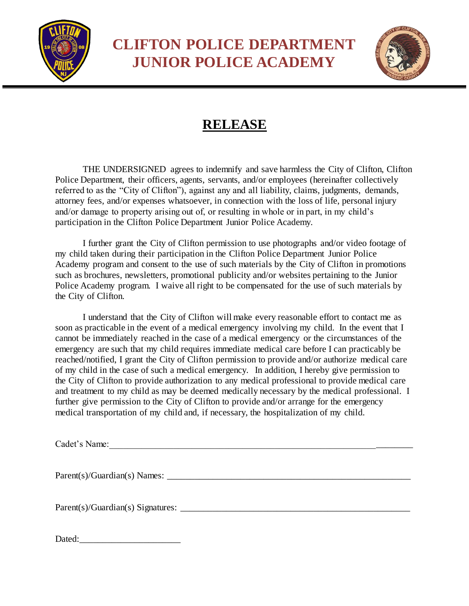

**CLIFTON POLICE DEPARTMENT JUNIOR POLICE ACADEMY**



## **RELEASE**

THE UNDERSIGNED agrees to indemnify and save harmless the City of Clifton, Clifton Police Department, their officers, agents, servants, and/or employees (hereinafter collectively referred to as the "City of Clifton"), against any and all liability, claims, judgments, demands, attorney fees, and/or expenses whatsoever, in connection with the loss of life, personal injury and/or damage to property arising out of, or resulting in whole or in part, in my child's participation in the Clifton Police Department Junior Police Academy.

I further grant the City of Clifton permission to use photographs and/or video footage of my child taken during their participation in the Clifton Police Department Junior Police Academy program and consent to the use of such materials by the City of Clifton in promotions such as brochures, newsletters, promotional publicity and/or websites pertaining to the Junior Police Academy program. I waive all right to be compensated for the use of such materials by the City of Clifton.

I understand that the City of Clifton will make every reasonable effort to contact me as soon as practicable in the event of a medical emergency involving my child. In the event that I cannot be immediately reached in the case of a medical emergency or the circumstances of the emergency are such that my child requires immediate medical care before I can practicably be reached/notified, I grant the City of Clifton permission to provide and/or authorize medical care of my child in the case of such a medical emergency. In addition, I hereby give permission to the City of Clifton to provide authorization to any medical professional to provide medical care and treatment to my child as may be deemed medically necessary by the medical professional. I further give permission to the City of Clifton to provide and/or arrange for the emergency medical transportation of my child and, if necessary, the hospitalization of my child.

Cadet's Name:\_\_\_\_\_\_\_\_\_\_\_\_\_\_\_\_\_\_\_\_\_\_\_\_\_\_\_\_\_\_\_\_\_\_\_\_\_\_\_\_\_\_\_\_\_\_\_\_\_\_\_\_\_\_\_\_\_\_\_\_\_\_\_\_\_\_

Parent(s)/Guardian(s) Names: \_\_\_\_\_\_\_\_\_\_\_\_\_\_\_\_\_\_\_\_\_\_\_\_\_\_\_\_\_\_\_\_\_\_\_\_\_\_\_\_\_\_\_\_\_\_\_\_\_\_\_\_\_

Parent(s)/Guardian(s) Signatures: \_\_\_\_\_\_\_\_\_\_\_\_\_\_\_\_\_\_\_\_\_\_\_\_\_\_\_\_\_\_\_\_\_\_\_\_\_\_\_\_\_\_\_\_\_\_\_\_\_\_

Dated: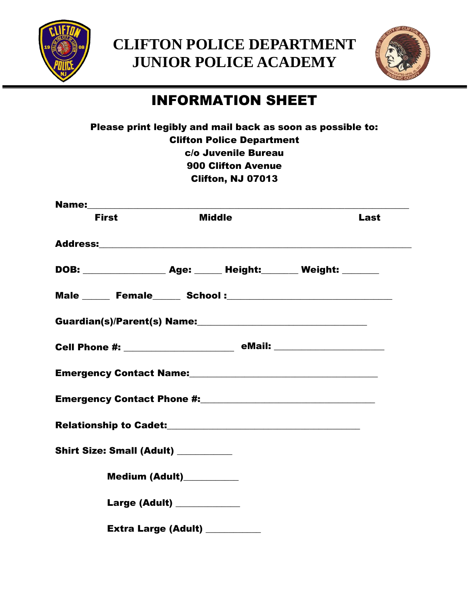

**CLIFTON POLICE DEPARTMENT JUNIOR POLICE ACADEMY**



## INFORMATION SHEET

|                                     |                                |                                  | Please print legibly and mail back as soon as possible to:                                                    |  |
|-------------------------------------|--------------------------------|----------------------------------|---------------------------------------------------------------------------------------------------------------|--|
|                                     |                                | <b>Clifton Police Department</b> |                                                                                                               |  |
|                                     |                                | c/o Juvenile Bureau              |                                                                                                               |  |
|                                     |                                | <b>900 Clifton Avenue</b>        |                                                                                                               |  |
|                                     |                                | Clifton, NJ 07013                |                                                                                                               |  |
|                                     |                                |                                  |                                                                                                               |  |
| <b>First</b>                        |                                | <b>Middle</b>                    | Last                                                                                                          |  |
|                                     |                                |                                  | Address: Address: Address: Address: Address: Address: Address: Address: Address: Address: Address: A          |  |
|                                     |                                |                                  | DOB: ___________________ Age: ______ Height: _______ Weight: _______                                          |  |
|                                     |                                |                                  |                                                                                                               |  |
|                                     |                                |                                  |                                                                                                               |  |
|                                     |                                |                                  |                                                                                                               |  |
|                                     |                                |                                  | Emergency Contact Name: Mameron Control of American American Control of American American American Control of |  |
|                                     |                                |                                  |                                                                                                               |  |
|                                     |                                |                                  |                                                                                                               |  |
| Shirt Size: Small (Adult) _________ |                                |                                  |                                                                                                               |  |
|                                     | Medium (Adult)__________       |                                  |                                                                                                               |  |
|                                     | Large (Adult) ____________     |                                  |                                                                                                               |  |
|                                     | Extra Large (Adult) __________ |                                  |                                                                                                               |  |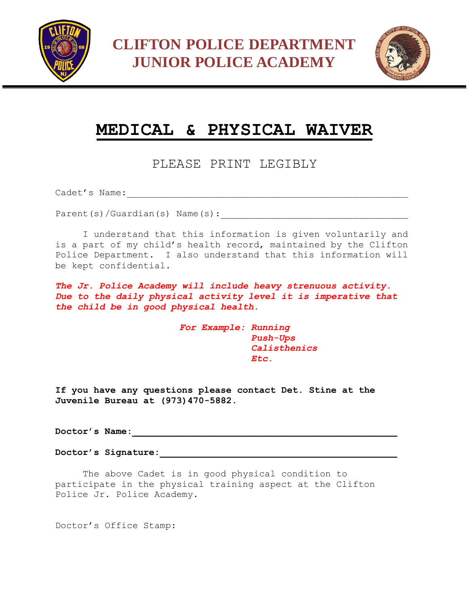



## **MEDICAL & PHYSICAL WAIVER**

PLEASE PRINT LEGIBLY

Cadet's Name:\_\_\_\_\_\_\_\_\_\_\_\_\_\_\_\_\_\_\_\_\_\_\_\_\_\_\_\_\_\_\_\_\_\_\_\_\_\_\_\_\_\_\_\_\_\_\_\_\_\_\_

Parent(s)/Guardian(s) Name(s):

I understand that this information is given voluntarily and is a part of my child's health record, maintained by the Clifton Police Department. I also understand that this information will be kept confidential.

*The Jr. Police Academy will include heavy strenuous activity. Due to the daily physical activity level it is imperative that the child be in good physical health.* 

> *For Example: Running Push-Ups Calisthenics Etc.*

**If you have any questions please contact Det. Stine at the Juvenile Bureau at (973)470-5882.** 

**Doctor's Name:\_\_\_\_\_\_\_\_\_\_\_\_\_\_\_\_\_\_\_\_\_\_\_\_\_\_\_\_\_\_\_\_\_\_\_\_\_\_\_\_\_\_\_\_\_\_\_\_** 

**Doctor's Signature:\_\_\_\_\_\_\_\_\_\_\_\_\_\_\_\_\_\_\_\_\_\_\_\_\_\_\_\_\_\_\_\_\_\_\_\_\_\_\_\_\_\_\_**

The above Cadet is in good physical condition to participate in the physical training aspect at the Clifton Police Jr. Police Academy.

Doctor's Office Stamp: